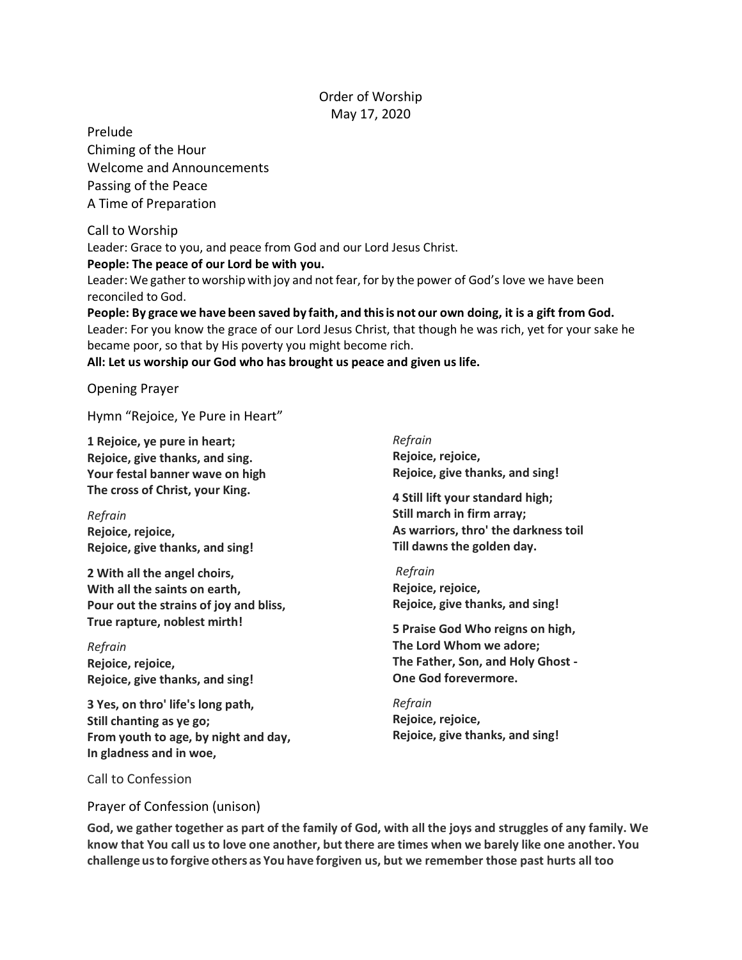# Order of Worship May 17, 2020

Prelude Chiming of the Hour Welcome and Announcements Passing of the Peace A Time of Preparation

Call to Worship Leader: Grace to you, and peace from God and our Lord Jesus Christ. **People: The peace of our Lord be with you.** Leader: We gather to worship with joy and not fear, for by the power of God's love we have been reconciled to God. **People: By grace we have been saved by faith, and thisis not our own doing, it is a gift from God.**

Leader: For you know the grace of our Lord Jesus Christ, that though he was rich, yet for your sake he became poor, so that by His poverty you might become rich.

**All: Let us worship our God who has brought us peace and given us life.**

Opening Prayer

Hymn "Rejoice, Ye Pure in Heart"

**1 Rejoice, ye pure in heart; Rejoice, give thanks, and sing. Your festal banner wave on high The cross of Christ, your King.** 

*Refrain* **Rejoice, rejoice, Rejoice, give thanks, and sing!**

**2 With all the angel choirs, With all the saints on earth, Pour out the strains of joy and bliss, True rapture, noblest mirth!** 

*Refrain* **Rejoice, rejoice, Rejoice, give thanks, and sing!**

**3 Yes, on thro' life's long path, Still chanting as ye go; From youth to age, by night and day, In gladness and in woe,** 

Call to Confession

*Refrain* **Rejoice, rejoice, Rejoice, give thanks, and sing!**

**4 Still lift your standard high; Still march in firm array; As warriors, thro' the darkness toil Till dawns the golden day.**

*Refrain* **Rejoice, rejoice, Rejoice, give thanks, and sing!**

**5 Praise God Who reigns on high, The Lord Whom we adore; The Father, Son, and Holy Ghost - One God forevermore.** 

*Refrain* **Rejoice, rejoice, Rejoice, give thanks, and sing!**

Prayer of Confession (unison)

**God, we gather together as part of the family of God, with all the joys and struggles of any family. We know that You call us to love one another, but there are times when we barely like one another. You challenge usto forgive others as You have forgiven us, but we remember those past hurts all too**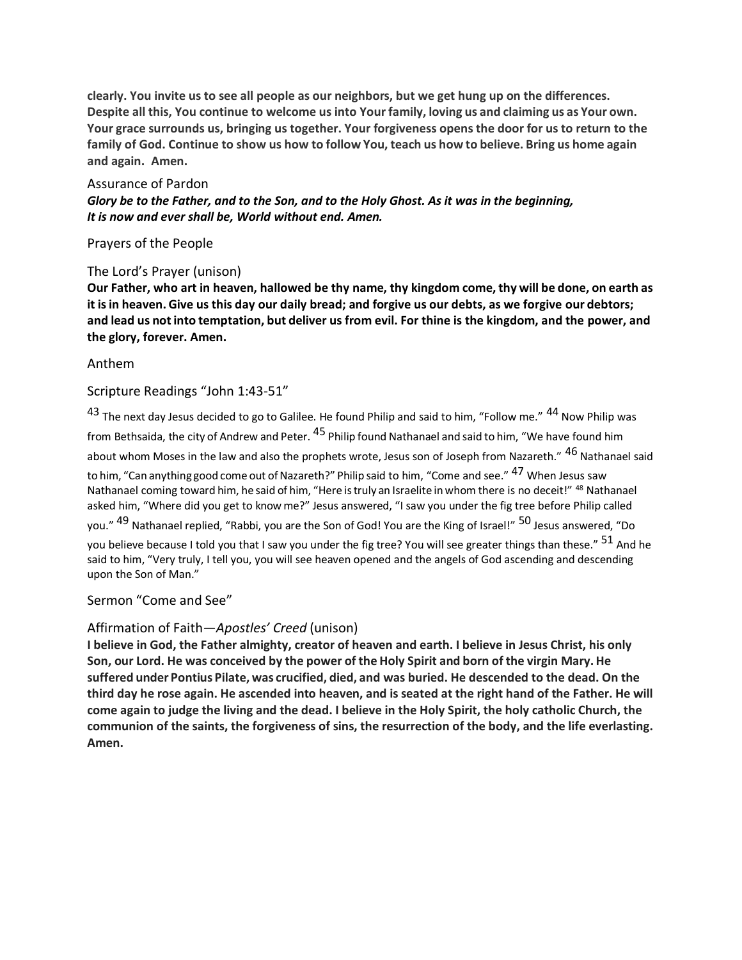**clearly. You invite us to see all people as our neighbors, but we get hung up on the differences. Despite all this, You continue to welcome us into Your family, loving us and claiming us as Your own. Your grace surrounds us, bringing us together. Your forgiveness opens the door for us to return to the family of God. Continue to show us how to follow You, teach us how to believe. Bring us home again and again. Amen.** 

# Assurance of Pardon *Glory be to the Father, and to the Son, and to the Holy Ghost. As it was in the beginning, It is now and ever shall be, World without end. Amen.*

## Prayers of the People

## The Lord's Prayer (unison)

**Our Father, who art in heaven, hallowed be thy name, thy kingdom come, thy will be done, on earth as it isin heaven. Give us this day our daily bread; and forgive us our debts, as we forgive our debtors; and lead us not into temptation, but deliver us from evil. For thine is the kingdom, and the power, and the glory, forever. Amen.**

### Anthem

Scripture Readings "John 1:43-51"

43 The next day Jesus decided to go to Galilee. He found Philip and said to him, "Follow me." <sup>44</sup> Now Philip was from Bethsaida, the city of Andrew and Peter. <sup>45</sup> Philip found Nathanael and said to him, "We have found him about whom Moses in the law and also the prophets wrote, Jesus son of Joseph from Nazareth." <sup>46</sup> Nathanael said to him, "Can anything good come out of Nazareth?" Philip said to him, "Come and see." <sup>47</sup> When Jesus saw Nathanael coming toward him, he said of him, "Here is truly an Israelite in whom there is no deceit!" <sup>48</sup> Nathanael asked him, "Where did you get to know me?" Jesus answered, "I saw you under the fig tree before Philip called you." <sup>49</sup> Nathanael replied, "Rabbi, you are the Son of God! You are the King of Israel!" <sup>50</sup> Jesus answered, "Do you believe because I told you that I saw you under the fig tree? You will see greater things than these." <sup>51</sup> And he said to him, "Very truly, I tell you, you will see heaven opened and the angels of God ascending and descending

Sermon "Come and See"

upon the Son of Man."

## Affirmation of Faith—*Apostles' Creed* (unison)

**I believe in God, the Father almighty, creator of heaven and earth. I believe in Jesus Christ, his only Son, our Lord. He was conceived by the power of the Holy Spirit and born of the virgin Mary.He suffered under Pontius Pilate, was crucified, died, and was buried. He descended to the dead. On the third day he rose again. He ascended into heaven, and is seated at the right hand of the Father. He will come again to judge the living and the dead. I believe in the Holy Spirit, the holy catholic Church, the communion of the saints, the forgiveness of sins, the resurrection of the body, and the life everlasting. Amen.**